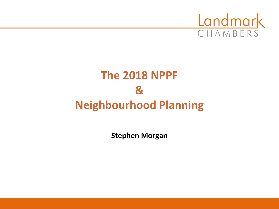

# **The 2018 NPPF & Neighbourhood Planning**

**Stephen Morgan**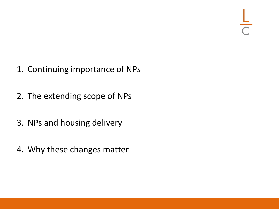- 1. Continuing importance of NPs
- 2. The extending scope of NPs
- 3. NPs and housing delivery
- 4. Why these changes matter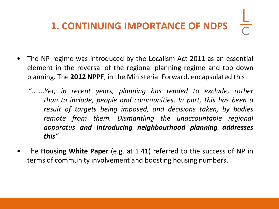# **1. CONTINUING IMPORTANCE OF NDPS**

- The NP regime was introduced by the Localism Act 2011 as an essential element in the reversal of the regional planning regime and top down planning. The **2012 NPPF**, in the Ministerial Forward, encapsulated this:
	- "…….*Yet, in recent years, planning has tended to exclude, rather than to include, people and communities*. *In part, this has been a result of targets being imposed, and decisions taken, by bodies remote from them. Dismantling the unaccountable regional apparatus and introducing neighbourhood planning addresses this".*
- The **Housing White Paper** (e.g. at 1.41) referred to the success of NP in terms of community involvement and boosting housing numbers.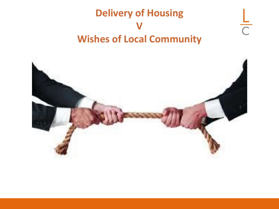# **Delivery of Housing V Wishes of Local Community**

 $\frac{1}{C}$ 

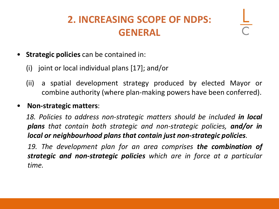# **2. INCREASING SCOPE OF NDPS: GENERAL**

- **Strategic policies** can be contained in:
	- (i) joint or local individual plans [17]; and/or
	- (ii) a spatial development strategy produced by elected Mayor or combine authority (where plan-making powers have been conferred).
- **Non-strategic matters**:

*18. Policies to address non-strategic matters should be included in local plans that contain both strategic and non-strategic policies, and/or in local or neighbourhood plans that contain just non-strategic policies.*

*19. The development plan for an area comprises the combination of strategic and non-strategic policies which are in force at a particular time.*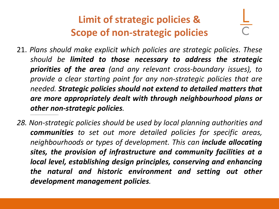# **Limit of strategic policies & Scope of non-strategic policies**

21. *Plans should make explicit which policies are strategic policies. These should be limited to those necessary to address the strategic priorities of the area (and any relevant cross-boundary issues), to provide a clear starting point for any non-strategic policies that are needed. Strategic policies should not extend to detailed matters that are more appropriately dealt with through neighbourhood plans or other non-strategic policies.*

*……………………………………………………..*

*28. Non-strategic policies should be used by local planning authorities and communities to set out more detailed policies for specific areas, neighbourhoods or types of development. This can include allocating sites, the provision of infrastructure and community facilities at a local level, establishing design principles, conserving and enhancing the natural and historic environment and setting out other development management policies.*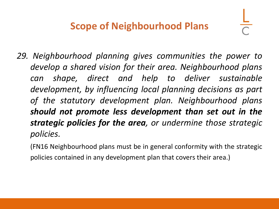- *29. Neighbourhood planning gives communities the power to develop a shared vision for their area. Neighbourhood plans can shape, direct and help to deliver sustainable development, by influencing local planning decisions as part of the statutory development plan. Neighbourhood plans should not promote less development than set out in the strategic policies for the area, or undermine those strategic policies.*
	- (FN16 Neighbourhood plans must be in general conformity with the strategic policies contained in any development plan that covers their area.)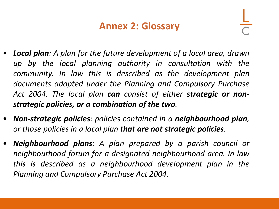### **Annex 2: Glossary**

- *Local plan: A plan for the future development of a local area, drawn up by the local planning authority in consultation with the community. In law this is described as the development plan documents adopted under the Planning and Compulsory Purchase Act 2004. The local plan can consist of either strategic or nonstrategic policies, or a combination of the two.*
- *Non-strategic policies: policies contained in a neighbourhood plan, or those policies in a local plan that are not strategic policies.*
- *Neighbourhood plans: A plan prepared by a parish council or neighbourhood forum for a designated neighbourhood area. In law this is described as a neighbourhood development plan in the Planning and Compulsory Purchase Act 2004*.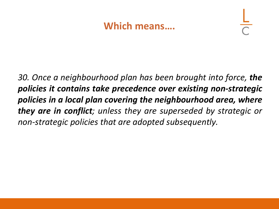### **Which means….**

*30. Once a neighbourhood plan has been brought into force, the policies it contains take precedence over existing non-strategic policies in a local plan covering the neighbourhood area, where they are in conflict; unless they are superseded by strategic or non-strategic policies that are adopted subsequently.*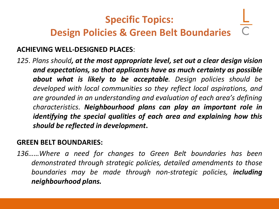# **Specific Topics: Design Policies & Green Belt Boundaries**

#### **ACHIEVING WELL-DESIGNED PLACES**:

*125*. *Plans should, at the most appropriate level, set out a clear design vision and expectations, so that applicants have as much certainty as possible about what is likely to be acceptable. Design policies should be developed with local communities so they reflect local aspirations, and are grounded in an understanding and evaluation of each area's defining characteristics. Neighbourhood plans can play an important role in identifying the special qualities of each area and explaining how this should be reflected in development***.**

#### **GREEN BELT BOUNDARIES:**

*136……Where a need for changes to Green Belt boundaries has been demonstrated through strategic policies, detailed amendments to those boundaries may be made through non-strategic policies, including neighbourhood plans.*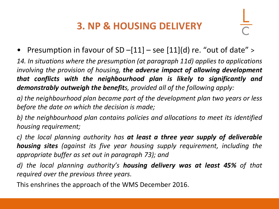### **3. NP & HOUSING DELIVERY**

• Presumption in favour of SD  $-[11] -$  see  $[11](d)$  re. "out of date" >

*14. In situations where the presumption (at paragraph 11d) applies to applications involving the provision of housing, the adverse impact of allowing development that conflicts with the neighbourhood plan is likely to significantly and demonstrably outweigh the benefits, provided all of the following apply:*

*a) the neighbourhood plan became part of the development plan two years or less before the date on which the decision is made;*

*b) the neighbourhood plan contains policies and allocations to meet its identified housing requirement;*

*c) the local planning authority has at least a three year supply of deliverable housing sites (against its five year housing supply requirement, including the appropriate buffer as set out in paragraph 73); and*

*d) the local planning authority's housing delivery was at least 45% of that required over the previous three years.*

This enshrines the approach of the WMS December 2016.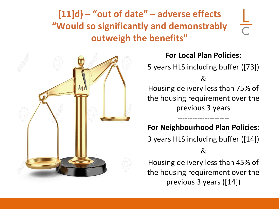### **[11]d) – "out of date" – adverse effects "Would so significantly and demonstrably outweigh the benefits"**



#### **For Local Plan Policies:**

5 years HLS including buffer ([73])

&

Housing delivery less than 75% of the housing requirement over the previous 3 years

#### **For Neighbourhood Plan Policies:**

---------------------

3 years HLS including buffer ([14])

&

Housing delivery less than 45% of the housing requirement over the previous 3 years ([14])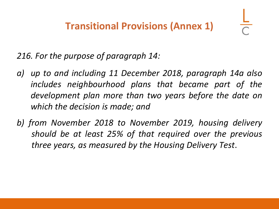*216. For the purpose of paragraph 14:*

- *a) up to and including 11 December 2018, paragraph 14a also includes neighbourhood plans that became part of the development plan more than two years before the date on which the decision is made; and*
- *b) from November 2018 to November 2019, housing delivery should be at least 25% of that required over the previous three years, as measured by the Housing Delivery Test*.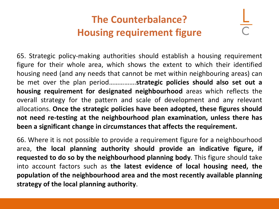# **The Counterbalance? Housing requirement figure**

65. Strategic policy-making authorities should establish a housing requirement figure for their whole area, which shows the extent to which their identified housing need (and any needs that cannot be met within neighbouring areas) can be met over the plan period…………….**strategic policies should also set out a housing requirement for designated neighbourhood** areas which reflects the overall strategy for the pattern and scale of development and any relevant allocations. **Once the strategic policies have been adopted, these figures should not need re-testing at the neighbourhood plan examination, unless there has been a significant change in circumstances that affects the requirement.**

66. Where it is not possible to provide a requirement figure for a neighbourhood area, **the local planning authority should provide an indicative figure, if requested to do so by the neighbourhood planning body**. This figure should take into account factors such as **the latest evidence of local housing need, the population of the neighbourhood area and the most recently available planning strategy of the local planning authority**.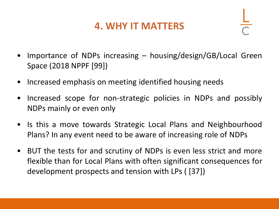### **4. WHY IT MATTERS**

- Importance of NDPs increasing  $-$  housing/design/GB/Local Green Space (2018 NPPF [99])
- Increased emphasis on meeting identified housing needs
- Increased scope for non-strategic policies in NDPs and possibly NDPs mainly or even only
- Is this a move towards Strategic Local Plans and Neighbourhood Plans? In any event need to be aware of increasing role of NDPs
- BUT the tests for and scrutiny of NDPs is even less strict and more flexible than for Local Plans with often significant consequences for development prospects and tension with LPs ( [37])